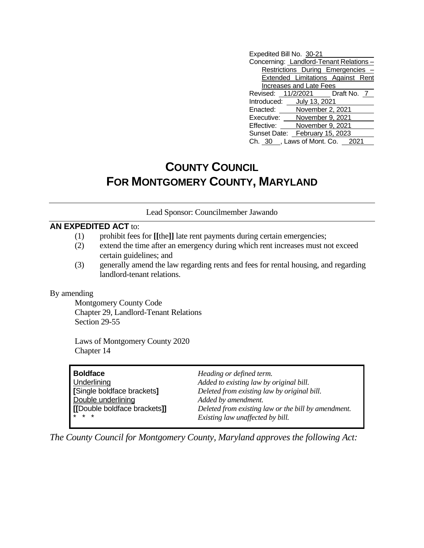| Expedited Bill No. 30-21        |                                |                                        |
|---------------------------------|--------------------------------|----------------------------------------|
|                                 |                                | Concerning: Landlord-Tenant Relations- |
|                                 |                                | Restrictions During Emergencies -      |
|                                 |                                | Extended Limitations Against Rent      |
|                                 | <b>Increases and Late Fees</b> |                                        |
|                                 |                                | Revised: 11/2/2021   Draft No. 7       |
| Introduced: July 13, 2021       |                                |                                        |
| Enacted: November 2, 2021       |                                |                                        |
| Executive: November 9, 2021     |                                |                                        |
| Effective:                      | November 9, 2021               |                                        |
| Sunset Date: February 15, 2023  |                                |                                        |
| Ch. 30 , Laws of Mont. Co. 2021 |                                |                                        |

# **COUNTY COUNCIL FOR MONTGOMERY COUNTY, MARYLAND**

### Lead Sponsor: Councilmember Jawando

## **AN EXPEDITED ACT** to:

- (1) prohibit fees for **[[**the**]]** late rent payments during certain emergencies;
- (2) extend the time after an emergency during which rent increases must not exceed certain guidelines; and
- (3) generally amend the law regarding rents and fees for rental housing, and regarding landlord-tenant relations.

### By amending

Montgomery County Code Chapter 29, Landlord-Tenant Relations Section 29-55

Laws of Montgomery County 2020 Chapter 14

| <b>Boldface</b>             | Heading or defined term.                            |
|-----------------------------|-----------------------------------------------------|
| Underlining                 | Added to existing law by original bill.             |
| [Single boldface brackets]  | Deleted from existing law by original bill.         |
| Double underlining          | Added by amendment.                                 |
| [Double boldface brackets]] | Deleted from existing law or the bill by amendment. |
| $* * *$                     | Existing law unaffected by bill.                    |

*The County Council for Montgomery County, Maryland approves the following Act:*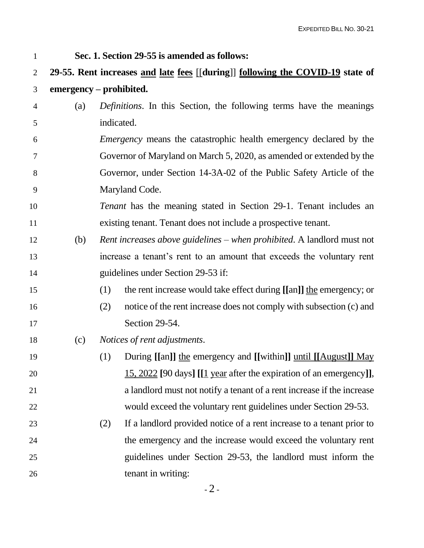**Sec. 1. Section 29-55 is amended as follows:**

 **29-55. Rent increases and late fees** [[**during**]] **following the COVID-19 state of emergency – prohibited.**

- (a) *Definitions*. In this Section, the following terms have the meanings indicated.
- *Emergency* means the catastrophic health emergency declared by the Governor of Maryland on March 5, 2020, as amended or extended by the Governor, under Section 14-3A-02 of the Public Safety Article of the Maryland Code.
- *Tenant* has the meaning stated in Section 29-1. Tenant includes an existing tenant. Tenant does not include a prospective tenant.
- (b) *Rent increases above guidelines – when prohibited*. A landlord must not increase a tenant's rent to an amount that exceeds the voluntary rent guidelines under Section 29-53 if:
- (1) the rent increase would take effect during **[[**an**]]** the emergency; or
- (2) notice of the rent increase does not comply with subsection (c) and 17 Section 29-54.
- (c) *Notices of rent adjustments*.
- (1) During **[[**an**]]** the emergency and **[[**within**]]** until **[[**August**]]** May 15, 2022 **[**90 days**] [[**1 year after the expiration of an emergency**]]**, a landlord must not notify a tenant of a rent increase if the increase would exceed the voluntary rent guidelines under Section 29-53.
- (2) If a landlord provided notice of a rent increase to a tenant prior to the emergency and the increase would exceed the voluntary rent guidelines under Section 29-53, the landlord must inform the 26 tenant in writing: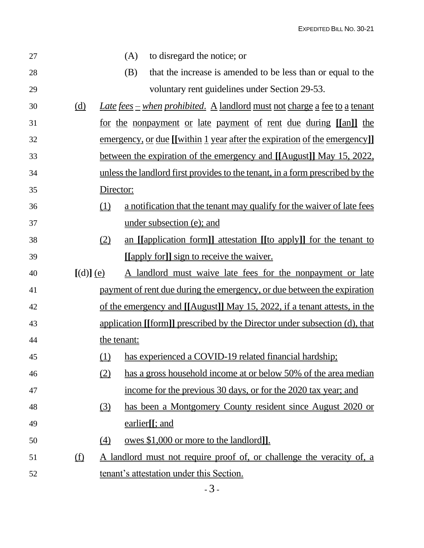EXPEDITED BILL NO. 30-21

| 27 |             |             | (A) | to disregard the notice; or                                                      |
|----|-------------|-------------|-----|----------------------------------------------------------------------------------|
| 28 |             |             | (B) | that the increase is amended to be less than or equal to the                     |
| 29 |             |             |     | voluntary rent guidelines under Section 29-53.                                   |
| 30 | (d)         |             |     | <u>Late fees – when prohibited. A landlord must not charge a fee to a tenant</u> |
| 31 |             |             |     | <u>for the nonpayment or late payment of rent due during [[an]] the</u>          |
| 32 |             |             |     | <u>emergency, or due [[within 1 year after the expiration of the emergency]]</u> |
| 33 |             |             |     | <u>between the expiration of the emergency and [[August]] May 15, 2022,</u>      |
| 34 |             |             |     | unless the landlord first provides to the tenant, in a form prescribed by the    |
| 35 |             | Director:   |     |                                                                                  |
| 36 |             | (1)         |     | a notification that the tenant may qualify for the waiver of late fees           |
| 37 |             |             |     | under subsection (e); and                                                        |
| 38 |             | (2)         |     | an [[application form]] attestation [[to apply]] for the tenant to               |
| 39 |             |             |     | [[apply for]] sign to receive the waiver.                                        |
|    |             |             |     |                                                                                  |
| 40 | $[(d)]$ (e) |             |     | A landlord must waive late fees for the nonpayment or late                       |
| 41 |             |             |     | payment of rent due during the emergency, or due between the expiration          |
| 42 |             |             |     | of the emergency and [[August]] May 15, 2022, if a tenant attests, in the        |
| 43 |             |             |     | application [[form]] prescribed by the Director under subsection (d), that       |
| 44 |             | the tenant: |     |                                                                                  |
| 45 |             | <u>(1)</u>  |     | has experienced a COVID-19 related financial hardship;                           |
| 46 |             | (2)         |     | has a gross household income at or below 50% of the area median                  |
| 47 |             |             |     | income for the previous 30 days, or for the 2020 tax year; and                   |
| 48 |             | $\Omega$    |     | has been a Montgomery County resident since August 2020 or                       |
| 49 |             |             |     | earlier <sup>[[</sup> ; and                                                      |
| 50 |             | (4)         |     | <u>owes \$1,000 or more to the landlord].</u>                                    |
| 51 | <u>(f)</u>  |             |     | <u>A landlord must not require proof of, or challenge the veracity of, a</u>     |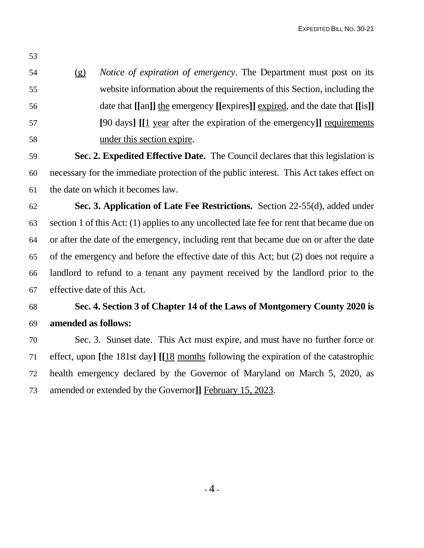(g) *Notice of expiration of emergency*. The Department must post on its website information about the requirements of this Section, including the date that **[[**an**]]** the emergency **[[**expires**]]** expired, and the date that **[[**is**]] [**90 days**] [[**1 year after the expiration of the emergency**]]** requirements under this section expire.

 **Sec. 2. Expedited Effective Date.** The Council declares that this legislation is necessary for the immediate protection of the public interest. This Act takes effect on the date on which it becomes law.

 **Sec. 3. Application of Late Fee Restrictions.** Section 22-55(d), added under section 1 of this Act: (1) applies to any uncollected late fee for rent that became due on or after the date of the emergency, including rent that became due on or after the date of the emergency and before the effective date of this Act; but (2) does not require a landlord to refund to a tenant any payment received by the landlord prior to the effective date of this Act.

# **Sec. 4. Section 3 of Chapter 14 of the Laws of Montgomery County 2020 is amended as follows:**

 Sec. 3. Sunset date. This Act must expire, and must have no further force or effect, upon **[**the 181st day**] [[**18 months following the expiration of the catastrophic health emergency declared by the Governor of Maryland on March 5, 2020, as amended or extended by the Governor**]]** February 15, 2023.